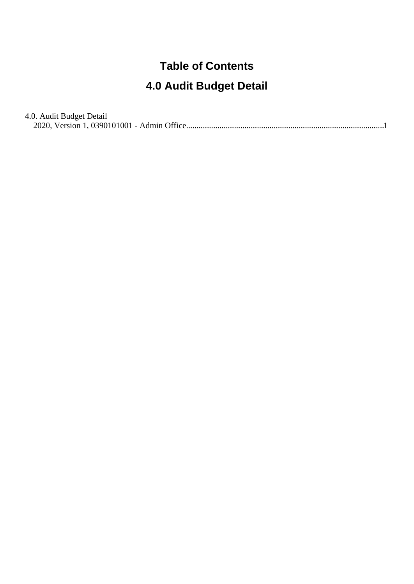#### **Table of Contents**

#### **4.0 Audit Budget Detail**

4.0. Audit Budget Detail [2020, Version 1, 0390101001 - Admin Office..............................................................................................](#page-1-0).1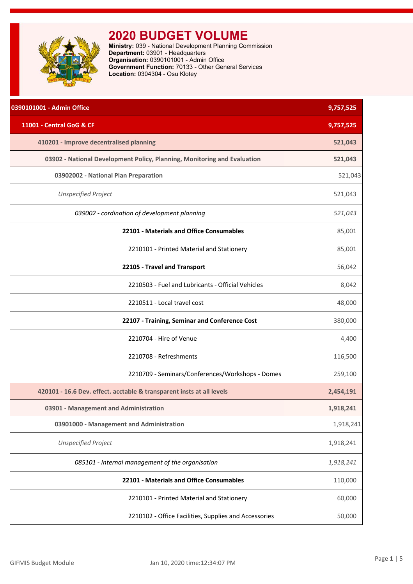<span id="page-1-0"></span>

| 0390101001 - Admin Office                                                | 9,757,525 |
|--------------------------------------------------------------------------|-----------|
| 11001 - Central GoG & CF                                                 | 9,757,525 |
| 410201 - Improve decentralised planning                                  | 521,043   |
| 03902 - National Development Policy, Planning, Monitoring and Evaluation | 521,043   |
| 03902002 - National Plan Preparation                                     | 521,043   |
| <b>Unspecified Project</b>                                               | 521,043   |
| 039002 - cordination of development planning                             | 521,043   |
| 22101 - Materials and Office Consumables                                 | 85,001    |
| 2210101 - Printed Material and Stationery                                | 85,001    |
| 22105 - Travel and Transport                                             | 56,042    |
| 2210503 - Fuel and Lubricants - Official Vehicles                        | 8,042     |
| 2210511 - Local travel cost                                              | 48,000    |
| 22107 - Training, Seminar and Conference Cost                            | 380,000   |
| 2210704 - Hire of Venue                                                  | 4,400     |
| 2210708 - Refreshments                                                   | 116,500   |
| 2210709 - Seminars/Conferences/Workshops - Domes                         | 259,100   |
| 420101 - 16.6 Dev. effect. acctable & transparent insts at all levels    | 2,454,191 |
| 03901 - Management and Administration                                    | 1,918,241 |
| 03901000 - Management and Administration                                 | 1,918,241 |
| <b>Unspecified Project</b>                                               | 1,918,241 |
| 085101 - Internal management of the organisation                         | 1,918,241 |
| 22101 - Materials and Office Consumables                                 | 110,000   |
| 2210101 - Printed Material and Stationery                                | 60,000    |
| 2210102 - Office Facilities, Supplies and Accessories                    | 50,000    |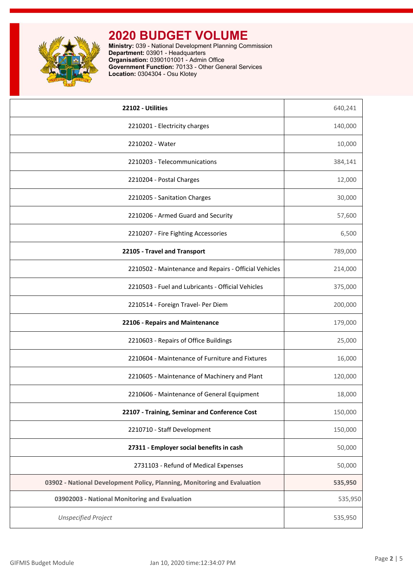

| 22102 - Utilities                                                        | 640,241 |
|--------------------------------------------------------------------------|---------|
| 2210201 - Electricity charges                                            | 140,000 |
| 2210202 - Water                                                          | 10,000  |
| 2210203 - Telecommunications                                             | 384,141 |
| 2210204 - Postal Charges                                                 | 12,000  |
| 2210205 - Sanitation Charges                                             | 30,000  |
| 2210206 - Armed Guard and Security                                       | 57,600  |
| 2210207 - Fire Fighting Accessories                                      | 6,500   |
| 22105 - Travel and Transport                                             | 789,000 |
| 2210502 - Maintenance and Repairs - Official Vehicles                    | 214,000 |
| 2210503 - Fuel and Lubricants - Official Vehicles                        | 375,000 |
| 2210514 - Foreign Travel- Per Diem                                       | 200,000 |
| 22106 - Repairs and Maintenance                                          | 179,000 |
| 2210603 - Repairs of Office Buildings                                    | 25,000  |
| 2210604 - Maintenance of Furniture and Fixtures                          | 16,000  |
| 2210605 - Maintenance of Machinery and Plant                             | 120,000 |
| 2210606 - Maintenance of General Equipment                               | 18,000  |
| 22107 - Training, Seminar and Conference Cost                            | 150,000 |
| 2210710 - Staff Development                                              | 150,000 |
| 27311 - Employer social benefits in cash                                 | 50,000  |
| 2731103 - Refund of Medical Expenses                                     | 50,000  |
| 03902 - National Development Policy, Planning, Monitoring and Evaluation | 535,950 |
| 03902003 - National Monitoring and Evaluation                            | 535,950 |
| <b>Unspecified Project</b>                                               | 535,950 |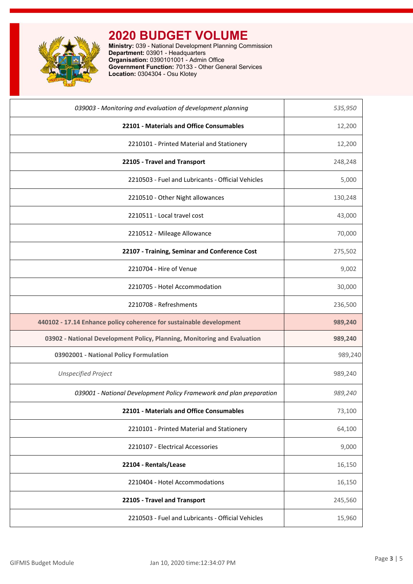

| 039003 - Monitoring and evaluation of development planning               | 535,950 |
|--------------------------------------------------------------------------|---------|
| 22101 - Materials and Office Consumables                                 | 12,200  |
| 2210101 - Printed Material and Stationery                                | 12,200  |
| 22105 - Travel and Transport                                             | 248,248 |
| 2210503 - Fuel and Lubricants - Official Vehicles                        | 5,000   |
| 2210510 - Other Night allowances                                         | 130,248 |
| 2210511 - Local travel cost                                              | 43,000  |
| 2210512 - Mileage Allowance                                              | 70,000  |
| 22107 - Training, Seminar and Conference Cost                            | 275,502 |
| 2210704 - Hire of Venue                                                  | 9,002   |
| 2210705 - Hotel Accommodation                                            | 30,000  |
| 2210708 - Refreshments                                                   | 236,500 |
|                                                                          |         |
| 440102 - 17.14 Enhance policy coherence for sustainable development      | 989,240 |
| 03902 - National Development Policy, Planning, Monitoring and Evaluation | 989,240 |
| 03902001 - National Policy Formulation                                   | 989,240 |
| <b>Unspecified Project</b>                                               | 989,240 |
| 039001 - National Development Policy Framework and plan preparation      | 989,240 |
| 22101 - Materials and Office Consumables                                 | 73,100  |
| 2210101 - Printed Material and Stationery                                | 64,100  |
| 2210107 - Electrical Accessories                                         | 9,000   |
| 22104 - Rentals/Lease                                                    | 16,150  |
| 2210404 - Hotel Accommodations                                           | 16,150  |
| 22105 - Travel and Transport                                             | 245,560 |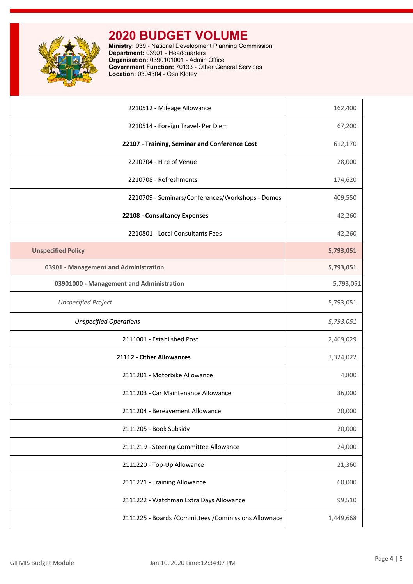

| 2210512 - Mileage Allowance                           | 162,400   |
|-------------------------------------------------------|-----------|
| 2210514 - Foreign Travel- Per Diem                    | 67,200    |
| 22107 - Training, Seminar and Conference Cost         | 612,170   |
| 2210704 - Hire of Venue                               | 28,000    |
| 2210708 - Refreshments                                | 174,620   |
| 2210709 - Seminars/Conferences/Workshops - Domes      | 409,550   |
| 22108 - Consultancy Expenses                          | 42,260    |
| 2210801 - Local Consultants Fees                      | 42,260    |
| <b>Unspecified Policy</b>                             | 5,793,051 |
| 03901 - Management and Administration                 | 5,793,051 |
| 03901000 - Management and Administration              | 5,793,051 |
| <b>Unspecified Project</b>                            | 5,793,051 |
| <b>Unspecified Operations</b>                         | 5,793,051 |
| 2111001 - Established Post                            | 2,469,029 |
| 21112 - Other Allowances                              | 3,324,022 |
| 2111201 - Motorbike Allowance                         | 4,800     |
| 2111203 - Car Maintenance Allowance                   | 36,000    |
| 2111204 - Bereavement Allowance                       | 20,000    |
| 2111205 - Book Subsidy                                | 20,000    |
| 2111219 - Steering Committee Allowance                | 24,000    |
| 2111220 - Top-Up Allowance                            | 21,360    |
| 2111221 - Training Allowance                          | 60,000    |
| 2111222 - Watchman Extra Days Allowance               | 99,510    |
| 2111225 - Boards / Committees / Commissions Allownace | 1,449,668 |